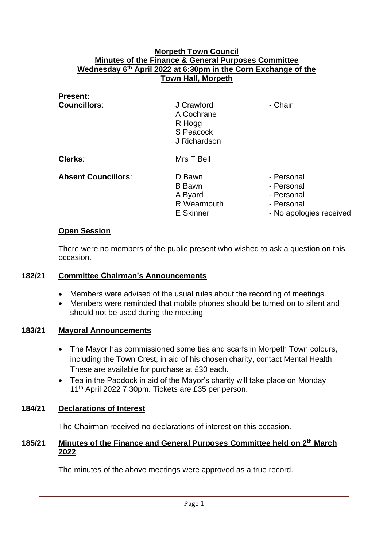### **Morpeth Town Council Minutes of the Finance & General Purposes Committee Wednesday 6 th April 2022 at 6:30pm in the Corn Exchange of the Town Hall, Morpeth**

| <b>Present:</b>            |                                                                 |                                                                                 |
|----------------------------|-----------------------------------------------------------------|---------------------------------------------------------------------------------|
| <b>Councillors:</b>        | J Crawford<br>A Cochrane<br>R Hogg<br>S Peacock<br>J Richardson | - Chair                                                                         |
| Clerks:                    | Mrs T Bell                                                      |                                                                                 |
| <b>Absent Councillors:</b> | D Bawn<br><b>B</b> Bawn<br>A Byard<br>R Wearmouth<br>E Skinner  | - Personal<br>- Personal<br>- Personal<br>- Personal<br>- No apologies received |

#### **Open Session**

There were no members of the public present who wished to ask a question on this occasion.

### **182/21 Committee Chairman's Announcements**

- Members were advised of the usual rules about the recording of meetings.
- Members were reminded that mobile phones should be turned on to silent and should not be used during the meeting.

# **183/21 Mayoral Announcements**

- The Mayor has commissioned some ties and scarfs in Morpeth Town colours, including the Town Crest, in aid of his chosen charity, contact Mental Health. These are available for purchase at £30 each.
- Tea in the Paddock in aid of the Mayor's charity will take place on Monday 11th April 2022 7:30pm. Tickets are £35 per person.

# **184/21 Declarations of Interest**

The Chairman received no declarations of interest on this occasion.

# 185/21 Minutes of the Finance and General Purposes Committee held on 2<sup>th</sup> March **2022**

The minutes of the above meetings were approved as a true record.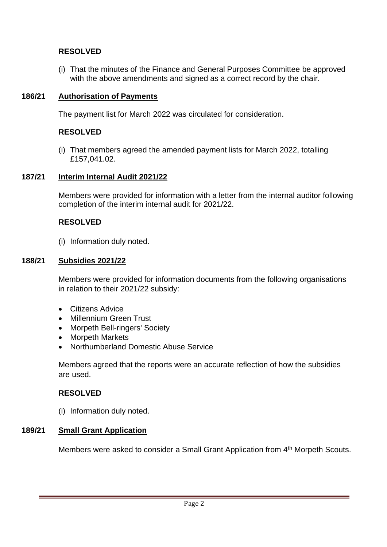# **RESOLVED**

(i) That the minutes of the Finance and General Purposes Committee be approved with the above amendments and signed as a correct record by the chair.

# **186/21 Authorisation of Payments**

The payment list for March 2022 was circulated for consideration.

# **RESOLVED**

(i) That members agreed the amended payment lists for March 2022, totalling £157,041.02.

#### **187/21 Interim Internal Audit 2021/22**

Members were provided for information with a letter from the internal auditor following completion of the interim internal audit for 2021/22.

# **RESOLVED**

(i) Information duly noted.

#### **188/21 Subsidies 2021/22**

Members were provided for information documents from the following organisations in relation to their 2021/22 subsidy:

- Citizens Advice
- Millennium Green Trust
- Morpeth Bell-ringers' Society
- Morpeth Markets
- Northumberland Domestic Abuse Service

Members agreed that the reports were an accurate reflection of how the subsidies are used.

# **RESOLVED**

(i) Information duly noted.

#### **189/21 Small Grant Application**

Members were asked to consider a Small Grant Application from 4<sup>th</sup> Morpeth Scouts.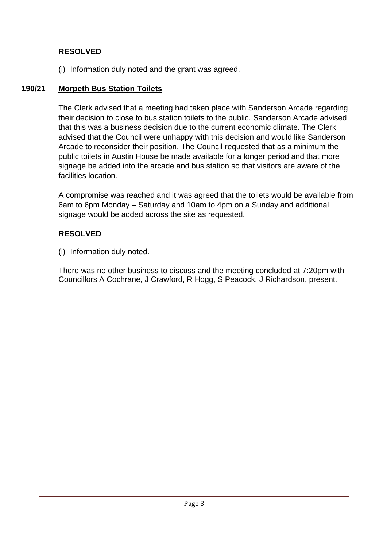# **RESOLVED**

(i) Information duly noted and the grant was agreed.

# **190/21 Morpeth Bus Station Toilets**

The Clerk advised that a meeting had taken place with Sanderson Arcade regarding their decision to close to bus station toilets to the public. Sanderson Arcade advised that this was a business decision due to the current economic climate. The Clerk advised that the Council were unhappy with this decision and would like Sanderson Arcade to reconsider their position. The Council requested that as a minimum the public toilets in Austin House be made available for a longer period and that more signage be added into the arcade and bus station so that visitors are aware of the facilities location.

A compromise was reached and it was agreed that the toilets would be available from 6am to 6pm Monday – Saturday and 10am to 4pm on a Sunday and additional signage would be added across the site as requested.

# **RESOLVED**

(i) Information duly noted.

There was no other business to discuss and the meeting concluded at 7:20pm with Councillors A Cochrane, J Crawford, R Hogg, S Peacock, J Richardson, present.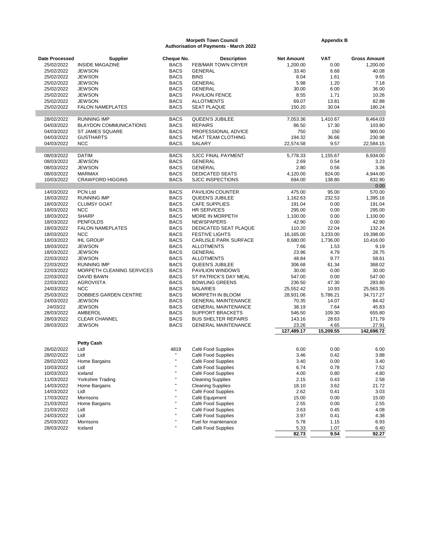#### **Morpeth Town Council Community Council Appendix B Authorisation of Payments - March 2022**

| Date Processed | <b>Supplier</b>               | Cheque No.   | <b>Description</b>           | <b>Net Amount</b> | <b>VAT</b>        | <b>Gross Amount</b> |
|----------------|-------------------------------|--------------|------------------------------|-------------------|-------------------|---------------------|
| 25/02/2022     | <b>INSIDE MAGAZINE</b>        | <b>BACS</b>  | FEB/MAR TOWN CRYER           | 1,200.00          | 0.00              | 1,200.00            |
| 25/02/2022     | <b>JEWSON</b>                 | <b>BACS</b>  | <b>GENERAL</b>               | 33.40             | 6.68              | 40.08               |
| 25/02/2022     | <b>JEWSON</b>                 | <b>BACS</b>  | <b>BINS</b>                  | 8.04              | 1.61              | 9.65                |
| 25/02/2022     | <b>JEWSON</b>                 | <b>BACS</b>  | <b>GENERAL</b>               | 5.98              | 1.20              | 7.18                |
| 25/02/2022     | <b>JEWSON</b>                 | <b>BACS</b>  | <b>GENERAL</b>               | 30.00             | 6.00              | 36.00               |
| 25/02/2022     | <b>JEWSON</b>                 | <b>BACS</b>  | PAVILION FENCE               | 8.55              | 1.71              | 10.26               |
| 25/02/2022     | <b>JEWSON</b>                 | <b>BACS</b>  | <b>ALLOTMENTS</b>            | 69.07             | 13.81             | 82.88               |
| 25/02/2022     | <b>FALON NAMEPLATES</b>       | <b>BACS</b>  | <b>SEAT PLAQUE</b>           | 150.20            | 30.04             | 180.24              |
|                |                               |              |                              |                   |                   |                     |
| 28/02/2022     | <b>RUNNING IMP</b>            | <b>BACS</b>  | QUEEN'S JUBILEE              | 7,053.36          | 1,410.67          | 8,464.03            |
| 04/03/2022     | <b>BLAYDON COMMUNICATIONS</b> | <b>BACS</b>  | <b>REPAIRS</b>               | 86.50             | 17.30             | 103.80              |
| 04/03/2022     | ST JAMES SQUARE               | <b>BACS</b>  | PROFESSIONAL ADVICE          | 750               | 150               | 900.00              |
| 04/03/2022     | <b>GUSTHARTS</b>              | <b>BACS</b>  | NEAT TEAM CLOTHING           | 194.32            | 36.66             | 230.98              |
| 04/03/2022     | <b>NCC</b>                    | <b>BACS</b>  | SALARY                       | 22,574.58         | 9.57              | 22,584.15           |
| 08/03/2022     | <b>DATIM</b>                  | <b>BACS</b>  | <b>SJCC FINAL PAYMENT</b>    | 5,778.33          | 1,155.67          | 6,934.00            |
| 08/03/2022     | <b>JEWSON</b>                 | <b>BACS</b>  | <b>GENERAL</b>               | 2.69              | 0.54              | 3.23                |
| 08/03/2022     | <b>JEWSON</b>                 | <b>BACS</b>  | <b>GENERAL</b>               | 2.80              | 0.56              | 3.36                |
| 08/03/2022     | <b>MARMAX</b>                 | <b>BACS</b>  | <b>DEDICATED SEATS</b>       | 4,120.00          | 824.00            | 4,944.00            |
| 10/03/2022     | <b>CRAWFORD HIGGINS</b>       | <b>BACS</b>  | <b>SJCC INSPECTIONS</b>      | 694.00            | 138.80            | 832.80              |
|                |                               |              |                              |                   |                   | 0.00                |
| 14/03/2022     | PCN Ltd                       | <b>BACS</b>  | PAVILION COUNTER             | 475.00            | 95.00             | 570.00              |
| 18/03/2022     | <b>RUNNING IMP</b>            | <b>BACS</b>  | <b>QUEEN'S JUBILEE</b>       | 1,162.63          | 232.53            | 1,395.16            |
| 18/03/2022     | <b>CLUMSY GOAT</b>            | <b>BACS</b>  | <b>CAFE SUPPLIES</b>         | 191.04            | 0.00              | 191.04              |
| 18/03/2022     | <b>NCC</b>                    | <b>BACS</b>  | <b>HR SERVICES</b>           | 295.00            | 0.00              | 295.00              |
| 18/03/2022     | <b>SHARP</b>                  | <b>BACS</b>  | MORE IN MORPETH              | 1,100.00          | 0.00              | 1,100.00            |
| 18/03/2022     | <b>PENFOLDS</b>               | <b>BACS</b>  | <b>NEWSPAPERS</b>            | 42.90             | 0.00              | 42.90               |
| 18/03/2022     | <b>FALON NAMEPLATES</b>       | <b>BACS</b>  | DEDICATED SEAT PLAQUE        | 110.20            | 22.04             | 132.24              |
| 18/03/2022     | <b>NCC</b>                    | <b>BACS</b>  | <b>FESTIVE LIGHTS</b>        | 16,165.00         | 3,233.00          | 19,398.00           |
| 18/03/2022     | <b>IHL GROUP</b>              | <b>BACS</b>  | <b>CARLISLE PARK SURFACE</b> | 8,680.00          | 1,736.00          | 10,416.00           |
| 18/03/2022     | <b>JEWSON</b>                 | <b>BACS</b>  | <b>ALLOTMENTS</b>            | 7.66              | 1.53              | 9.19                |
| 18/03/2022     | <b>JEWSON</b>                 | <b>BACS</b>  | <b>GENERAL</b>               | 23.96             | 4.79              | 28.75               |
| 22/03/2022     | <b>JEWSON</b>                 | <b>BACS</b>  | <b>ALLOTMENTS</b>            | 48.84             | 9.77              | 58.61               |
| 22/03/2022     | <b>RUNNING IMP</b>            | <b>BACS</b>  | QUEEN'S JUBILEE              | 306.68            | 61.34             | 368.02              |
| 22/03/2022     | MORPETH CLEANING SERVICES     | <b>BACS</b>  | PAVILION WINDOWS             | 30.00             | 0.00              | 30.00               |
| 22/03/2022     | DAVID BAWN                    | <b>BACS</b>  | ST PATRICK'S DAY MEAL        | 547.00            | 0.00              | 547.00              |
| 22/03/2022     | <b>AGROVISTA</b>              | <b>BACS</b>  | <b>BOWLING GREENS</b>        | 236.50            | 47.30             | 283.80              |
| 24/03/2022     | <b>NCC</b>                    | <b>BACS</b>  | <b>SALARIES</b>              | 25,552.42         | 10.93             | 25,563.35           |
| 25/03/2022     | DOBBIES GARDEN CENTRE         | <b>BACS</b>  | MORPETH IN BLOOM             | 28,931.06         | 5,786.21          | 34,717.27           |
| 24/03/2022     | <b>JEWSON</b>                 | <b>BACS</b>  | <b>GENERAL MAINTENANCE</b>   | 70.35             | 14.07             | 84.42               |
| 24/03/22       | <b>JEWSON</b>                 | <b>BACS</b>  | <b>GENERAL MAINTENANCE</b>   | 38.19             | 7.64              | 45.83               |
| 28/03/2022     | AMBEROL                       | <b>BACS</b>  | <b>SUPPORT BRACKETS</b>      | 546.50            | 109.30            | 655.80              |
| 28/03/2022     | <b>CLEAR CHANNEL</b>          | <b>BACS</b>  | <b>BUS SHELTER REPAIRS</b>   | 143.16            | 28.63             | 171.79              |
| 28/03/2022     | <b>JEWSON</b>                 | <b>BACS</b>  | <b>GENERAL MAINTENANCE</b>   | 23.26             | 4.65<br>15,209.55 | 27.91               |
|                |                               |              |                              | 127,489.17        |                   | 142,698.72          |
|                | <b>Petty Cash</b>             |              |                              |                   |                   |                     |
| 26/02/2022     | Lidl                          | 4819         | Café Food Supplies           | 6.00              | 0.00              | 6.00                |
| 28/02/2022     | Lidl                          | $\mathbf{u}$ | Café Food Supplies           | 3.46              | 0.42              | 3.88                |
| 28/02/2022     | Home Bargains                 | $\mathbf{u}$ | Café Food Supplies           | 3.40              | 0.00              | 3.40                |
| 10/03/2022     | Lidl                          | $\mathbf u$  | Café Food Supplies           | 6.74              | 0.78              | 7.52                |
| 10/03/2022     | Iceland                       |              | Café Food Supplies           | 4.00              | 0.80              | 4.80                |
| 11/03/2022     | Yorkshire Trading             |              | <b>Cleaning Supplies</b>     | 2.15              | 0.43              | 2.58                |
| 14/03/2022     | Home Bargains                 |              | <b>Cleaning Supplies</b>     | 18.10             | 3.62              | 21.72               |
| 14/03/2022     | Lidl                          |              | Café Food Supplies           | 2.62              | 0.41              | 3.03                |
| 17/03/2022     | Morrisons                     |              | Café Equipment               | 15.00             | 0.00              | 15.00               |
| 21/03/2022     | Home Bargains                 |              | Café Food Supplies           | 2.55              | 0.00              | 2.55                |
| 21/03/2022     | Lidl                          |              | Café Food Supplies           | 3.63              | 0.45              | 4.08                |
| 24/03/2022     | Lidl                          |              | Café Food Supplies           | 3.97              | 0.41              | 4.38                |
| 25/03/2022     | Morrisons                     |              | Fuel for maintenance         | 5.78              | 1.15              | 6.93                |
| 28/03/2022     | Iceland                       |              | Café Food Supplies           | 5.33              | 1.07              | 6.40                |
|                |                               |              |                              | 82.73             | 9.54              | 92.27               |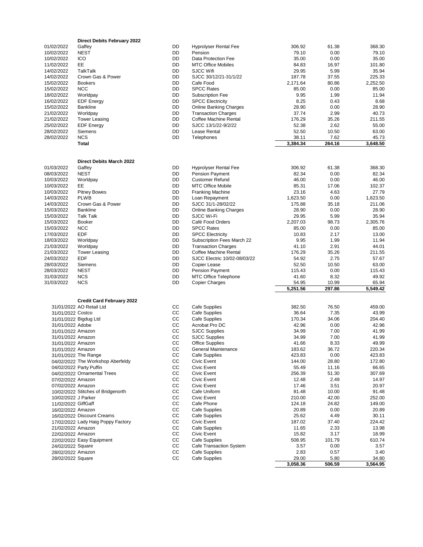|                       | <b>Direct Debits February 2022</b> |    |                                |                   |                 |                   |
|-----------------------|------------------------------------|----|--------------------------------|-------------------|-----------------|-------------------|
| 01/02/2022            | Gaffey                             | DD | <b>Hyprolyser Rental Fee</b>   | 306.92            | 61.38           | 368.30            |
| 10/02/2022            | <b>NEST</b>                        | DD | Pension                        | 79.10             | 0.00            | 79.10             |
| 10/02/2022            | ICO                                | DD | Data Protection Fee            | 35.00             | 0.00            | 35.00             |
| 11/02/2022            | EE                                 | DD | <b>MTC Office Mobiles</b>      | 84.83             | 16.97           | 101.80            |
| 14/02/2022            | <b>TalkTalk</b>                    | DD | <b>SJCC Wifi</b>               | 29.95             | 5.99            | 35.94             |
|                       | Crown Gas & Power                  |    |                                |                   |                 |                   |
| 14/02/2022            |                                    | DD | SJCC 30/12/21-31/1/22          | 187.78            | 37.55           | 225.33            |
| 15/02/2022            | <b>Bookers</b>                     | DD | Cafe Food                      | 2,171.64          | 80.86           | 2,252.50          |
| 15/02/2022            | <b>NCC</b>                         | DD | <b>SPCC Rates</b>              | 85.00             | 0.00            | 85.00             |
| 18/02/2022            | Worldpay                           | DD | <b>Subscription Fee</b>        | 9.95              | 1.99            | 11.94             |
| 16/02/2022            | <b>EDF Energy</b>                  | DD | <b>SPCC Electricity</b>        | 8.25              | 0.43            | 8.68              |
| 15/02/2022            | <b>Bankline</b>                    | DD | Online Banking Charges         | 28.90             | 0.00            | 28.90             |
| 21/02/2022            | Worldpay                           | DD | <b>Transaction Charges</b>     | 37.74             | 2.99            | 40.73             |
| 21/02/2022            | <b>Tower Leasing</b>               | DD | Coffee Machine Rental          | 176.29            | 35.26           | 211.55            |
| 25/02/2022            | <b>EDF Energy</b>                  | DD | SJCC 13/1/22-9/2/22            | 52.38             | 2.62            | 55.00             |
| 28/02/2022            | Siemens                            | DD | Lease Rental                   | 52.50             | 10.50           | 63.00             |
|                       | <b>NCS</b>                         | DD | <b>Telephones</b>              |                   |                 |                   |
| 28/02/2022            | <b>Total</b>                       |    |                                | 38.11<br>3,384.34 | 7.62<br>264.16  | 45.73<br>3,648.50 |
|                       |                                    |    |                                |                   |                 |                   |
|                       | Direct Debits March 2022           |    |                                |                   |                 |                   |
| 01/03/2022            | Gaffey                             | DD | <b>Hyprolyser Rental Fee</b>   | 306.92            | 61.38           | 368.30            |
| 08/03/2022            | <b>NEST</b>                        | DD | <b>Pension Payment</b>         | 82.34             | 0.00            | 82.34             |
| 10/03/2022            | Worldpay                           | DD | <b>Customer Refund</b>         | 46.00             | 0.00            | 46.00             |
| 10/03/2022            | EE                                 | DD | <b>MTC Office Mobile</b>       | 85.31             | 17.06           | 102.37            |
| 10/03/2022            | <b>Pitney Bowes</b>                | DD | <b>Franking Machine</b>        | 23.16             | 4.63            | 27.79             |
| 14/03/2022            | <b>PLWB</b>                        | DD | Loan Repayment                 | 1,623.50          | 0.00            | 1,623.50          |
| 14/03/2022            | Crown Gas & Power                  | DD | SJCC 31/1-28/02/22             | 175.88            | 35.18           | 211.06            |
| 15/03/2022            | <b>Bankline</b>                    | DD | <b>Online Banking Charges</b>  | 28.90             | 0.00            | 28.90             |
| 15/03/2022            | <b>Talk Talk</b>                   | DD | SJCC Wi-Fi                     | 29.95             | 5.99            | 35.94             |
|                       |                                    |    | Café Food Orders               |                   |                 |                   |
| 15/03/2022            | <b>Booker</b>                      | DD |                                | 2,207.03          | 98.73           | 2,305.76          |
| 15/03/2022            | <b>NCC</b>                         | DD | <b>SPCC Rates</b>              | 85.00             | 0.00            | 85.00             |
| 17/03/2022            | <b>EDF</b>                         | DD | <b>SPCC Electricity</b>        | 10.83             | 2.17            | 13.00             |
| 18/03/2022            | Worldpay                           | DD | Subscription Fees March 22     | 9.95              | 1.99            | 11.94             |
| 21/03/2022            | Worldpay                           | DD | <b>Transaction Charges</b>     | 41.10             | 2.91            | 44.01             |
| 21/03/2022            | <b>Tower Leasing</b>               | DD | Coffee Machine Rental          | 176.29            | 35.26           | 211.55            |
| 24/03/2022            | EDF                                | DD | SJCC Electric 10/02-08/03/22   | 54.92             | 2.75            | 57.67             |
| 28/03/2022            | Siemens                            | DD | Copier Lease                   | 52.50             | 10.50           | 63.00             |
| 28/03/2022            | <b>NEST</b>                        | DD | <b>Pension Payment</b>         | 115.43            | 0.00            | 115.43            |
|                       |                                    | DD |                                |                   |                 |                   |
| 31/03/2022            | <b>NCS</b>                         |    | <b>MTC Office Telephone</b>    | 41.60             | 8.32            | 49.92             |
| 31/03/2022            | <b>NCS</b>                         | DD | <b>Copier Charges</b>          | 54.95<br>5,251.56 | 10.99<br>297.86 | 65.94<br>5,549.42 |
|                       |                                    |    |                                |                   |                 |                   |
|                       | <b>Credit Card February 2022</b>   |    |                                |                   |                 |                   |
|                       | 31/01/2022 AO Retail Ltd           | CС | <b>Cafe Supplies</b>           | 382.50            | 76.50           | 459.00            |
| 31/01/2022 Costco     |                                    | CС | <b>Cafe Supplies</b>           | 36.64             | 7.35            | 43.99             |
| 31/01/2022 Bigdug Ltd |                                    | СC | Cafe Supplies                  | 170.34            | 34.06           | 204.40            |
| 31/01/2022 Adobe      |                                    | СC | Acrobat Pro DC                 | 42.96             | 0.00            | 42.96             |
| 31/01/2022 Amazon     |                                    | CC | <b>SJCC Supplies</b>           | 34.99             | 7.00            | 41.99             |
| 31/01/2022 Amazon     |                                    | CС | <b>SJCC Supplies</b>           | 34.99             | 7.00            | 41.99             |
| 31/01/2022 Amazon     |                                    | CC | <b>Office Supplies</b>         | 41.66             | 8.33            | 49.99             |
| 31/01/2022 Amazon     |                                    | cc | General Maintenance            | 183.62            | 36.72           | 220.34            |
|                       | 31/01/2022 The Range               | CС | <b>Cafe Supplies</b>           | 423.83            | 0.00            | 423.83            |
|                       |                                    |    |                                |                   |                 |                   |
|                       | 04/02/2022 The Workshop Aberfeldy  | CС | Civic Event                    | 144.00            | 28.80           | 172.80            |
|                       | 04/02/2022 Party Puffin            | CС | Civic Event                    | 55.49             | 11.16           | 66.65             |
|                       | 04/02/2022 Ornamental Trees        | CС | Civic Event                    | 256.39            | 51.30           | 307.69            |
| 07/02/2022 Amazon     |                                    | CС | Civic Event                    | 12.48             | 2.49            | 14.97             |
| 07/02/2022 Amazon     |                                    | CС | Civic Event                    | 17.46             | 3.51            | 20.97             |
|                       | 10/02/2022 Stitches of Bridgenorth | СC | Cafe Uniform                   | 81.48             | 10.00           | 91.48             |
| 10/02/2022 J Parker   |                                    | CС | Civic Event                    | 210.00            | 42.00           | 252.00            |
| 11/02/2022 GiffGaff   |                                    | СC | Cafe Phone                     | 124.18            | 24.82           | 149.00            |
|                       |                                    | CС | Cafe Supplies                  |                   |                 |                   |
| 16/02/2022 Amazon     |                                    |    |                                | 20.89             | 0.00            | 20.89             |
|                       | 16/02/2022 Discount Creams         | CС | <b>Cafe Supplies</b>           | 25.62             | 4.49            | 30.11             |
|                       | 17/02/2022 Lady Haig Poppy Factory | CС | Civic Event                    | 187.02            | 37.40           | 224.42            |
| 21/02/2022 Amazon     |                                    | CС | <b>Cafe Supplies</b>           | 11.65             | 2.33            | 13.98             |
| 22/02/2022 Amazon     |                                    | CС | Civic Event                    | 15.82             | 3.17            | 18.99             |
|                       | 22/02/2022 Easy Equipment          | CС | <b>Cafe Supplies</b>           | 508.95            | 101.79          | 610.74            |
| 24/02/2022 Square     |                                    | CС | <b>Cafe Transaction System</b> | 3.57              | 0.00            | 3.57              |
| 28/02/2022 Amazon     |                                    | CС | <b>Cafe Supplies</b>           | 2.83              | 0.57            | 3.40              |
| 28/02/2022 Square     |                                    | СC | <b>Cafe Supplies</b>           | 29.00             | 5.80            | 34.80             |
|                       |                                    |    |                                | 3,058.36          | 506.59          | 3,564.95          |
|                       |                                    |    |                                |                   |                 |                   |